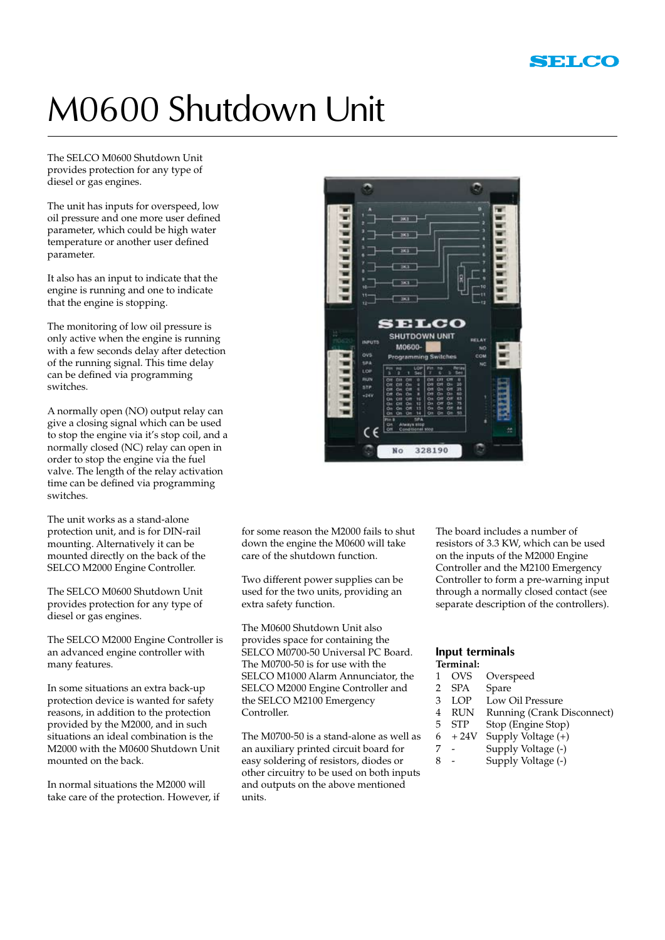

## M0600 Shutdown Unit

The SELCO M0600 Shutdown Unit provides protection for any type of diesel or gas engines.

The unit has inputs for overspeed, low oil pressure and one more user defined parameter, which could be high water temperature or another user defined parameter.

It also has an input to indicate that the engine is running and one to indicate that the engine is stopping.

The monitoring of low oil pressure is only active when the engine is running with a few seconds delay after detection of the running signal. This time delay can be defined via programming switches.

A normally open (NO) output relay can give a closing signal which can be used to stop the engine via it's stop coil, and a normally closed (NC) relay can open in order to stop the engine via the fuel valve. The length of the relay activation time can be defined via programming switches.

The unit works as a stand-alone protection unit, and is for DIN-rail mounting. Alternatively it can be mounted directly on the back of the SELCO M2000 Engine Controller.

The SELCO M0600 Shutdown Unit provides protection for any type of diesel or gas engines.

The SELCO M2000 Engine Controller is an advanced engine controller with many features.

In some situations an extra back-up protection device is wanted for safety reasons, in addition to the protection provided by the M2000, and in such situations an ideal combination is the M2000 with the M0600 Shutdown Unit mounted on the back.

In normal situations the M2000 will take care of the protection. However, if



for some reason the M2000 fails to shut down the engine the M0600 will take care of the shutdown function.

Two different power supplies can be used for the two units, providing an extra safety function.

The M0600 Shutdown Unit also provides space for containing the SELCO M0700-50 Universal PC Board. The M0700-50 is for use with the SELCO M1000 Alarm Annunciator, the SELCO M2000 Engine Controller and the SELCO M2100 Emergency Controller.

The M0700-50 is a stand-alone as well as an auxiliary printed circuit board for easy soldering of resistors, diodes or other circuitry to be used on both inputs and outputs on the above mentioned units.

The board includes a number of resistors of 3.3 KW, which can be used on the inputs of the M2000 Engine Controller and the M2100 Emergency Controller to form a pre-warning input through a normally closed contact (see separate description of the controllers).

#### **Input terminals Terminal:**

|               | <b>OVS</b> | Overspeed                  |
|---------------|------------|----------------------------|
| $\mathcal{L}$ | <b>SPA</b> | Spare                      |
| 3             | LOP        | Low Oil Pressure           |
| 4             | <b>RUN</b> | Running (Crank Disconnect) |
| 5             | <b>STP</b> | Stop (Engine Stop)         |
| 6             | + 24V      | Supply Voltage (+)         |
|               |            | Supply Voltage (-)         |

8 - Supply Voltage (-)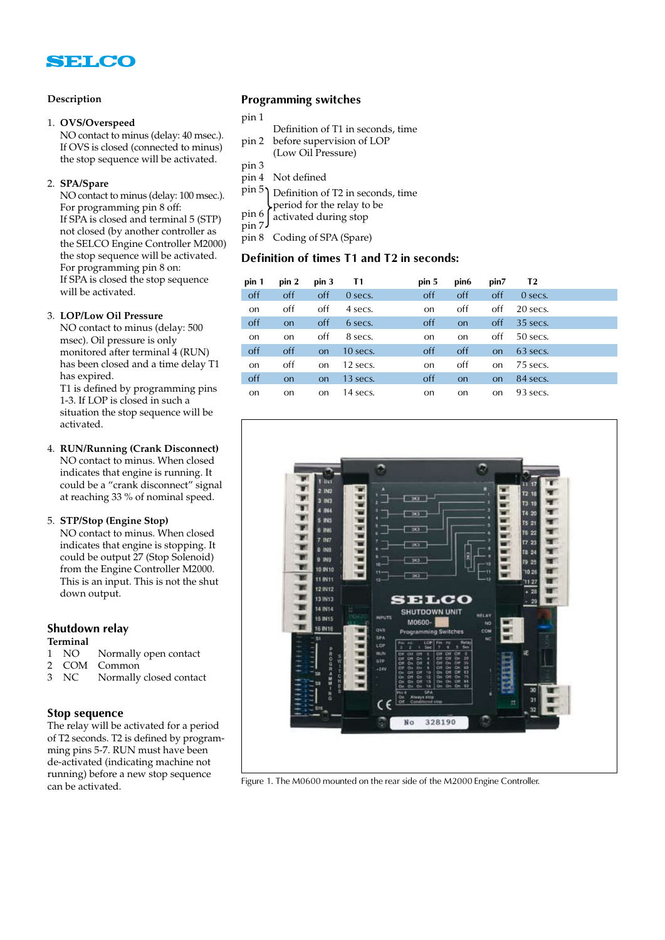

#### **Description**

#### 1. **OVS/Overspeed**

NO contact to minus (delay: 40 msec.). If OVS is closed (connected to minus) the stop sequence will be activated.

#### 2. **SPA/Spare**

NO contact to minus (delay: 100 msec.). For programming pin 8 off: If SPA is closed and terminal 5 (STP) not closed (by another controller as the SELCO Engine Controller M2000) the stop sequence will be activated. For programming pin 8 on: If SPA is closed the stop sequence will be activated.

#### 3. **LOP/Low Oil Pressure**

NO contact to minus (delay: 500 msec). Oil pressure is only monitored after terminal 4 (RUN) has been closed and a time delay T1 has expired.

T1 is defined by programming pins 1-3. If LOP is closed in such a situation the stop sequence will be activated.

4. **RUN/Running (Crank Disconnect)** NO contact to minus. When closed indicates that engine is running. It could be a "crank disconnect" signal at reaching 33 % of nominal speed.

### 5. **STP/Stop (Engine Stop)**

NO contact to minus. When closed indicates that engine is stopping. It could be output 27 (Stop Solenoid) from the Engine Controller M2000. This is an input. This is not the shut down output.

#### **Shutdown relay**

## **Terminal**

- 1 NO Normally open contact
- 2 COM Common<br>3 NC Normally
- Normally closed contact

#### **Stop sequence**

The relay will be activated for a period of T2 seconds. T2 is defined by programming pins 5-7. RUN must have been de-activated (indicating machine not running) before a new stop sequence can be activated.

#### **Programming switches**

#### pin 1

- Definition of T1 in seconds, time
- pin 2 before supervision of LOP
	- (Low Oil Pressure)
- pin 3
- Not defined
- $\binom{pin\ 5}{period\ for\ the\ relay\ to\ be}$
- pin  $6 \int \text{activated during stop}$
- 
- pin 8 Coding of SPA (Spare)

#### **Definition of times T1 and T2 in seconds:**

| pin 1     | pin <sub>2</sub> | pin <sub>3</sub> | T1         | pin 5         | pin6          | pin7          | T <sub>2</sub> |  |
|-----------|------------------|------------------|------------|---------------|---------------|---------------|----------------|--|
| off       | off              | off              | 0 secs.    | off           | off           | off           | 0 secs.        |  |
| on        | off              | off              | 4 secs.    | on.           | off           | off           | 20 secs.       |  |
| off       | <b>on</b>        | off              | 6 secs.    | off           | <b>on</b>     | off           | 35 secs.       |  |
| on        | <b>on</b>        | off              | 8 secs.    | on.           | <sub>on</sub> | off           | 50 secs.       |  |
| off       | off              | <b>on</b>        | $10$ secs. | off           | off           | <b>on</b>     | 63 secs.       |  |
| <b>on</b> | off              | <b>on</b>        | 12 secs.   | <sub>on</sub> | off           | <sub>on</sub> | 75 secs.       |  |
| off       | <b>on</b>        | <b>on</b>        | 13 secs.   | off           | <b>on</b>     | <b>on</b>     | 84 secs.       |  |
| on        | <sub>on</sub>    | <b>on</b>        | 14 secs.   | <sub>on</sub> | on            | <sub>on</sub> | 93 secs.       |  |



Figure 1. The M0600 mounted on the rear side of the M2000 Engine Controller.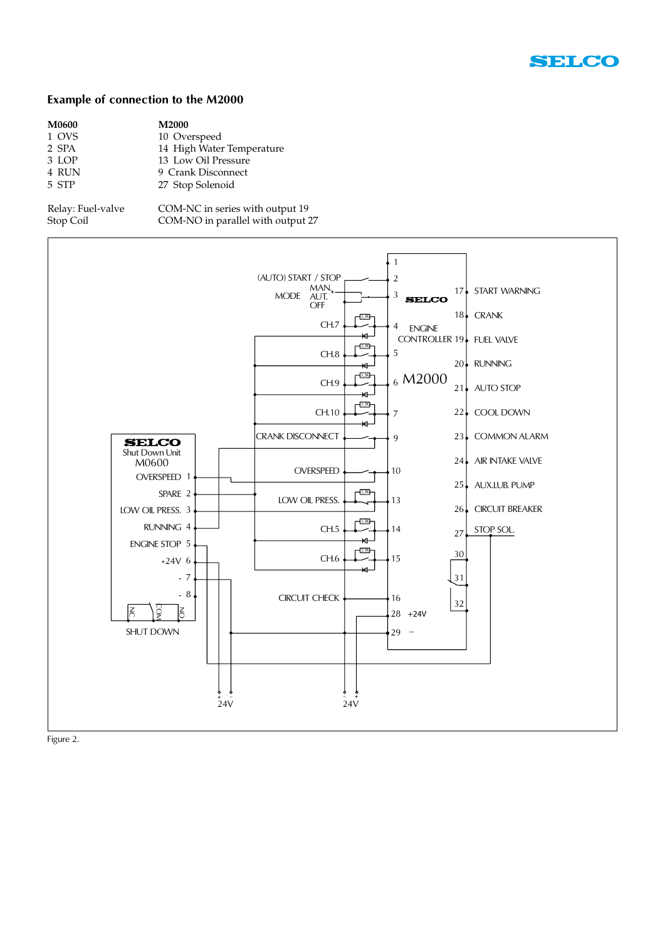

#### **Example of connection to the M2000**

| <b>M0600</b> | <b>M2000</b>              |
|--------------|---------------------------|
| 1 OVS        | 10 Overspeed              |
| 2 SPA        | 14 High Water Temperature |
| 3 LOP        | 13 Low Oil Pressure       |
| 4 RUN        | 9 Crank Disconnect        |
| 5 STP        | 27 Stop Solenoid          |
|              |                           |

Relay: Fuel-valve COM-NC in series with output 19<br>Stop Coil COM-NO in parallel with output 2 COM-NO in parallel with output 27



Figure 2.